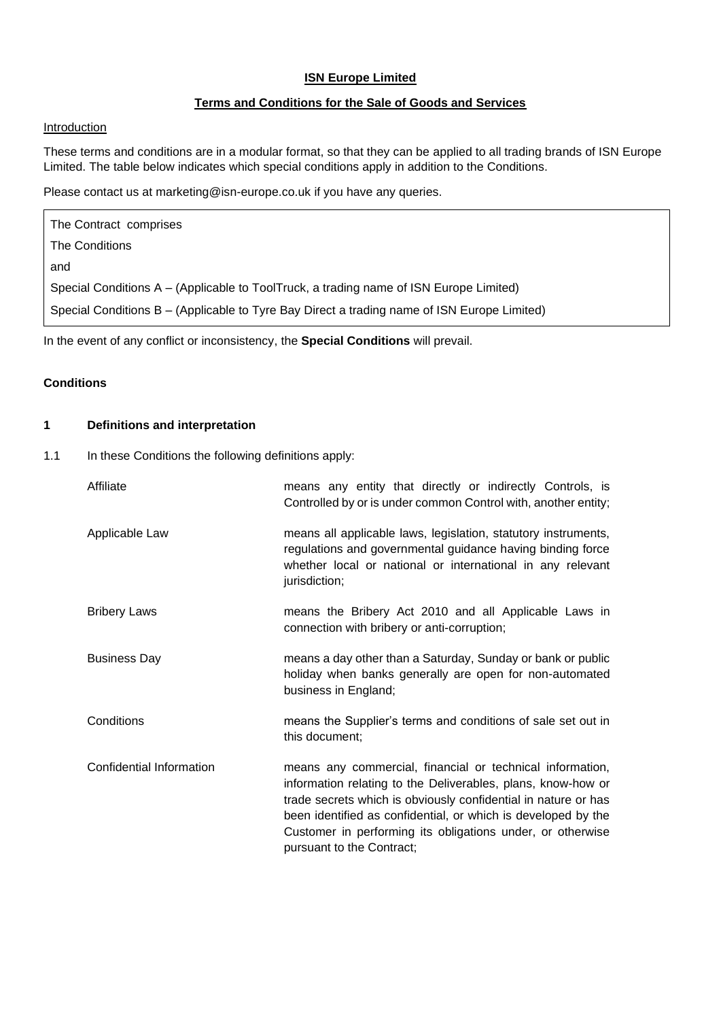# **ISN Europe Limited**

# **Terms and Conditions for the Sale of Goods and Services**

# Introduction

These terms and conditions are in a modular format, so that they can be applied to all trading brands of ISN Europe Limited. The table below indicates which special conditions apply in addition to the Conditions.

Please contact us at marketing@isn-europe.co.uk if you have any queries.

| The Contract comprises                                                                      |
|---------------------------------------------------------------------------------------------|
| The Conditions                                                                              |
| and                                                                                         |
| Special Conditions A – (Applicable to ToolTruck, a trading name of ISN Europe Limited)      |
| Special Conditions B – (Applicable to Tyre Bay Direct a trading name of ISN Europe Limited) |

In the event of any conflict or inconsistency, the **Special Conditions** will prevail.

# **Conditions**

# **1 Definitions and interpretation**

1.1 In these Conditions the following definitions apply:

| Affiliate                | means any entity that directly or indirectly Controls, is<br>Controlled by or is under common Control with, another entity;                                                                                                                                                                                                                             |
|--------------------------|---------------------------------------------------------------------------------------------------------------------------------------------------------------------------------------------------------------------------------------------------------------------------------------------------------------------------------------------------------|
| Applicable Law           | means all applicable laws, legislation, statutory instruments,<br>regulations and governmental guidance having binding force<br>whether local or national or international in any relevant<br>jurisdiction;                                                                                                                                             |
| <b>Bribery Laws</b>      | means the Bribery Act 2010 and all Applicable Laws in<br>connection with bribery or anti-corruption;                                                                                                                                                                                                                                                    |
| <b>Business Day</b>      | means a day other than a Saturday, Sunday or bank or public<br>holiday when banks generally are open for non-automated<br>business in England;                                                                                                                                                                                                          |
| Conditions               | means the Supplier's terms and conditions of sale set out in<br>this document;                                                                                                                                                                                                                                                                          |
| Confidential Information | means any commercial, financial or technical information,<br>information relating to the Deliverables, plans, know-how or<br>trade secrets which is obviously confidential in nature or has<br>been identified as confidential, or which is developed by the<br>Customer in performing its obligations under, or otherwise<br>pursuant to the Contract; |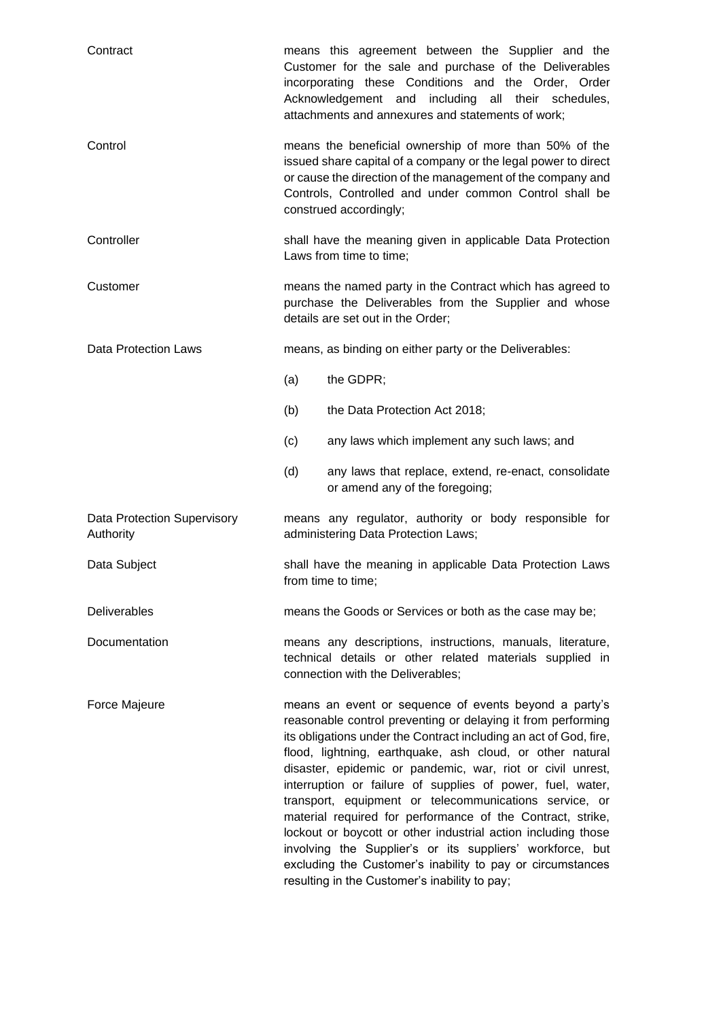| Contract                                 | means this agreement between the Supplier and the<br>Customer for the sale and purchase of the Deliverables<br>incorporating these Conditions and the Order, Order<br>Acknowledgement and<br>including all their schedules,<br>attachments and annexures and statements of work;                                                                                                                                                                                                                                                                                                                                                                                                                                                                         |
|------------------------------------------|----------------------------------------------------------------------------------------------------------------------------------------------------------------------------------------------------------------------------------------------------------------------------------------------------------------------------------------------------------------------------------------------------------------------------------------------------------------------------------------------------------------------------------------------------------------------------------------------------------------------------------------------------------------------------------------------------------------------------------------------------------|
| Control                                  | means the beneficial ownership of more than 50% of the<br>issued share capital of a company or the legal power to direct<br>or cause the direction of the management of the company and<br>Controls, Controlled and under common Control shall be<br>construed accordingly;                                                                                                                                                                                                                                                                                                                                                                                                                                                                              |
| Controller                               | shall have the meaning given in applicable Data Protection<br>Laws from time to time;                                                                                                                                                                                                                                                                                                                                                                                                                                                                                                                                                                                                                                                                    |
| Customer                                 | means the named party in the Contract which has agreed to<br>purchase the Deliverables from the Supplier and whose<br>details are set out in the Order;                                                                                                                                                                                                                                                                                                                                                                                                                                                                                                                                                                                                  |
| Data Protection Laws                     | means, as binding on either party or the Deliverables:                                                                                                                                                                                                                                                                                                                                                                                                                                                                                                                                                                                                                                                                                                   |
|                                          | (a)<br>the GDPR;                                                                                                                                                                                                                                                                                                                                                                                                                                                                                                                                                                                                                                                                                                                                         |
|                                          | (b)<br>the Data Protection Act 2018;                                                                                                                                                                                                                                                                                                                                                                                                                                                                                                                                                                                                                                                                                                                     |
|                                          | (c)<br>any laws which implement any such laws; and                                                                                                                                                                                                                                                                                                                                                                                                                                                                                                                                                                                                                                                                                                       |
|                                          | (d)<br>any laws that replace, extend, re-enact, consolidate<br>or amend any of the foregoing;                                                                                                                                                                                                                                                                                                                                                                                                                                                                                                                                                                                                                                                            |
| Data Protection Supervisory<br>Authority | means any regulator, authority or body responsible for<br>administering Data Protection Laws;                                                                                                                                                                                                                                                                                                                                                                                                                                                                                                                                                                                                                                                            |
| Data Subject                             | shall have the meaning in applicable Data Protection Laws<br>from time to time;                                                                                                                                                                                                                                                                                                                                                                                                                                                                                                                                                                                                                                                                          |
| <b>Deliverables</b>                      | means the Goods or Services or both as the case may be;                                                                                                                                                                                                                                                                                                                                                                                                                                                                                                                                                                                                                                                                                                  |
| Documentation                            | means any descriptions, instructions, manuals, literature,<br>technical details or other related materials supplied in<br>connection with the Deliverables;                                                                                                                                                                                                                                                                                                                                                                                                                                                                                                                                                                                              |
| Force Majeure                            | means an event or sequence of events beyond a party's<br>reasonable control preventing or delaying it from performing<br>its obligations under the Contract including an act of God, fire,<br>flood, lightning, earthquake, ash cloud, or other natural<br>disaster, epidemic or pandemic, war, riot or civil unrest,<br>interruption or failure of supplies of power, fuel, water,<br>transport, equipment or telecommunications service, or<br>material required for performance of the Contract, strike,<br>lockout or boycott or other industrial action including those<br>involving the Supplier's or its suppliers' workforce, but<br>excluding the Customer's inability to pay or circumstances<br>resulting in the Customer's inability to pay; |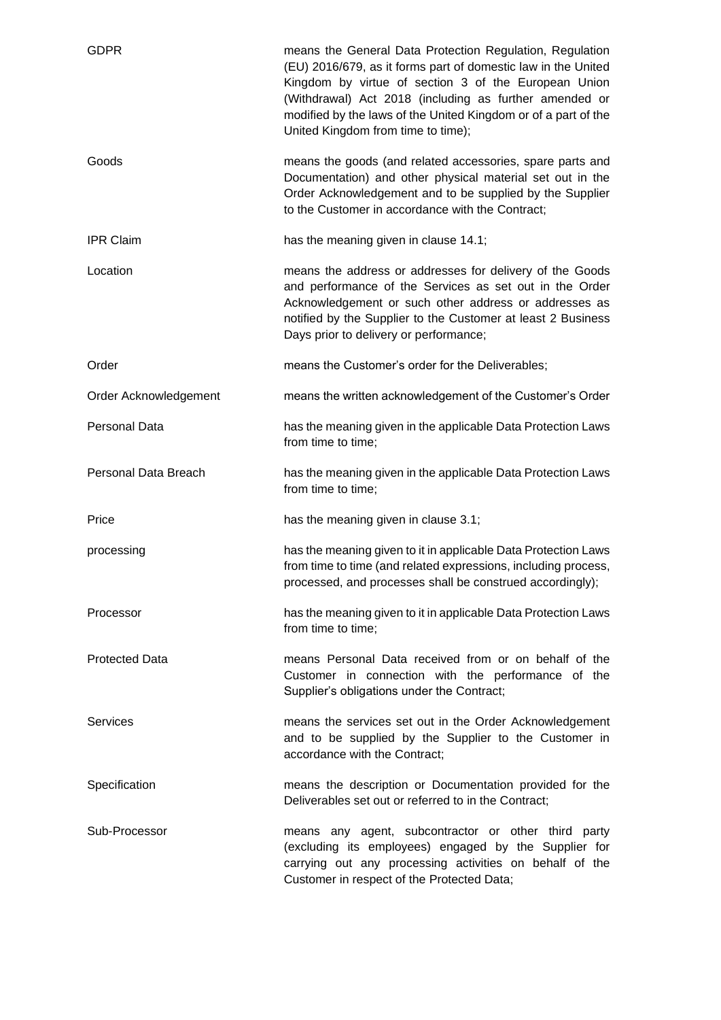| <b>GDPR</b>           | means the General Data Protection Regulation, Regulation<br>(EU) 2016/679, as it forms part of domestic law in the United<br>Kingdom by virtue of section 3 of the European Union<br>(Withdrawal) Act 2018 (including as further amended or<br>modified by the laws of the United Kingdom or of a part of the<br>United Kingdom from time to time); |
|-----------------------|-----------------------------------------------------------------------------------------------------------------------------------------------------------------------------------------------------------------------------------------------------------------------------------------------------------------------------------------------------|
| Goods                 | means the goods (and related accessories, spare parts and<br>Documentation) and other physical material set out in the<br>Order Acknowledgement and to be supplied by the Supplier<br>to the Customer in accordance with the Contract;                                                                                                              |
| <b>IPR Claim</b>      | has the meaning given in clause 14.1;                                                                                                                                                                                                                                                                                                               |
| Location              | means the address or addresses for delivery of the Goods<br>and performance of the Services as set out in the Order<br>Acknowledgement or such other address or addresses as<br>notified by the Supplier to the Customer at least 2 Business<br>Days prior to delivery or performance;                                                              |
| Order                 | means the Customer's order for the Deliverables;                                                                                                                                                                                                                                                                                                    |
| Order Acknowledgement | means the written acknowledgement of the Customer's Order                                                                                                                                                                                                                                                                                           |
| <b>Personal Data</b>  | has the meaning given in the applicable Data Protection Laws<br>from time to time;                                                                                                                                                                                                                                                                  |
| Personal Data Breach  | has the meaning given in the applicable Data Protection Laws<br>from time to time;                                                                                                                                                                                                                                                                  |
| Price                 | has the meaning given in clause 3.1;                                                                                                                                                                                                                                                                                                                |
| processing            | has the meaning given to it in applicable Data Protection Laws<br>from time to time (and related expressions, including process,<br>processed, and processes shall be construed accordingly);                                                                                                                                                       |
| Processor             | has the meaning given to it in applicable Data Protection Laws<br>from time to time;                                                                                                                                                                                                                                                                |
| <b>Protected Data</b> | means Personal Data received from or on behalf of the<br>Customer in connection with the performance of the<br>Supplier's obligations under the Contract;                                                                                                                                                                                           |
| <b>Services</b>       | means the services set out in the Order Acknowledgement<br>and to be supplied by the Supplier to the Customer in<br>accordance with the Contract;                                                                                                                                                                                                   |
| Specification         | means the description or Documentation provided for the<br>Deliverables set out or referred to in the Contract;                                                                                                                                                                                                                                     |
| Sub-Processor         | means any agent, subcontractor or other third party<br>(excluding its employees) engaged by the Supplier for<br>carrying out any processing activities on behalf of the<br>Customer in respect of the Protected Data;                                                                                                                               |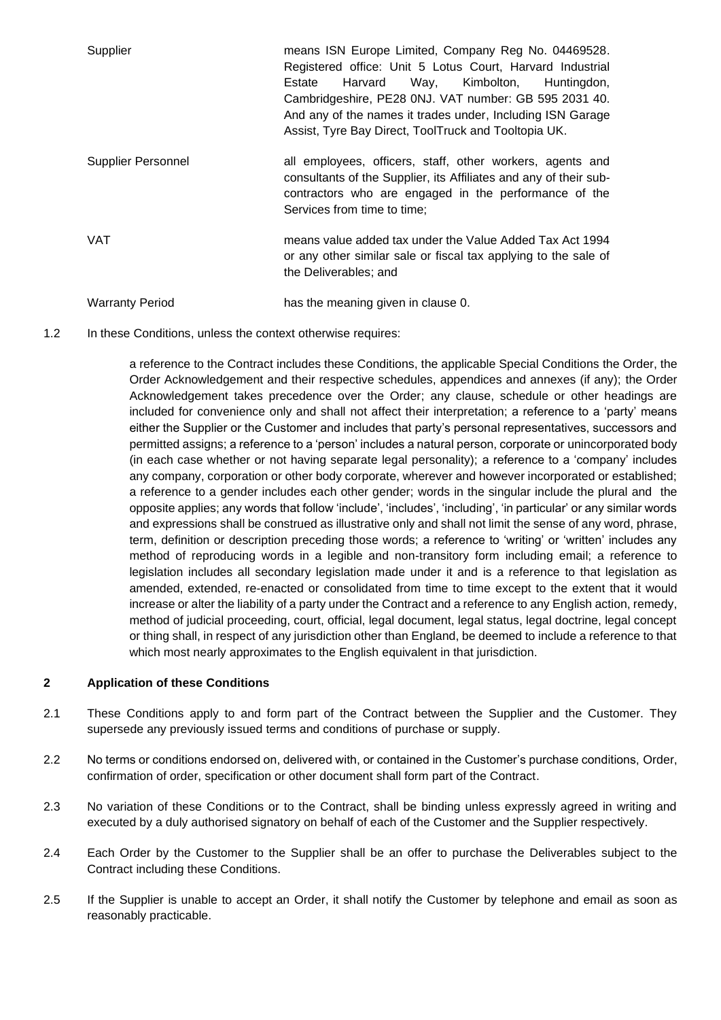| Supplier               | means ISN Europe Limited, Company Reg No. 04469528.<br>Registered office: Unit 5 Lotus Court, Harvard Industrial<br>Harvard Way, Kimbolton,<br>Huntingdon,<br>Estate<br>Cambridgeshire, PE28 0NJ. VAT number: GB 595 2031 40.<br>And any of the names it trades under, Including ISN Garage<br>Assist, Tyre Bay Direct, ToolTruck and Tooltopia UK. |
|------------------------|-----------------------------------------------------------------------------------------------------------------------------------------------------------------------------------------------------------------------------------------------------------------------------------------------------------------------------------------------------|
| Supplier Personnel     | all employees, officers, staff, other workers, agents and<br>consultants of the Supplier, its Affiliates and any of their sub-<br>contractors who are engaged in the performance of the<br>Services from time to time;                                                                                                                              |
| <b>VAT</b>             | means value added tax under the Value Added Tax Act 1994<br>or any other similar sale or fiscal tax applying to the sale of<br>the Deliverables; and                                                                                                                                                                                                |
| <b>Warranty Period</b> | has the meaning given in clause 0.                                                                                                                                                                                                                                                                                                                  |

1.2 In these Conditions, unless the context otherwise requires:

a reference to the Contract includes these Conditions, the applicable Special Conditions the Order, the Order Acknowledgement and their respective schedules, appendices and annexes (if any); the Order Acknowledgement takes precedence over the Order; any clause, schedule or other headings are included for convenience only and shall not affect their interpretation; a reference to a 'party' means either the Supplier or the Customer and includes that party's personal representatives, successors and permitted assigns; a reference to a 'person' includes a natural person, corporate or unincorporated body (in each case whether or not having separate legal personality); a reference to a 'company' includes any company, corporation or other body corporate, wherever and however incorporated or established; a reference to a gender includes each other gender; words in the singular include the plural and the opposite applies; any words that follow 'include', 'includes', 'including', 'in particular' or any similar words and expressions shall be construed as illustrative only and shall not limit the sense of any word, phrase, term, definition or description preceding those words; a reference to 'writing' or 'written' includes any method of reproducing words in a legible and non-transitory form including email; a reference to legislation includes all secondary legislation made under it and is a reference to that legislation as amended, extended, re-enacted or consolidated from time to time except to the extent that it would increase or alter the liability of a party under the Contract and a reference to any English action, remedy, method of judicial proceeding, court, official, legal document, legal status, legal doctrine, legal concept or thing shall, in respect of any jurisdiction other than England, be deemed to include a reference to that which most nearly approximates to the English equivalent in that jurisdiction.

# **2 Application of these Conditions**

- 2.1 These Conditions apply to and form part of the Contract between the Supplier and the Customer. They supersede any previously issued terms and conditions of purchase or supply.
- 2.2 No terms or conditions endorsed on, delivered with, or contained in the Customer's purchase conditions, Order, confirmation of order, specification or other document shall form part of the Contract.
- 2.3 No variation of these Conditions or to the Contract, shall be binding unless expressly agreed in writing and executed by a duly authorised signatory on behalf of each of the Customer and the Supplier respectively.
- 2.4 Each Order by the Customer to the Supplier shall be an offer to purchase the Deliverables subject to the Contract including these Conditions.
- 2.5 If the Supplier is unable to accept an Order, it shall notify the Customer by telephone and email as soon as reasonably practicable.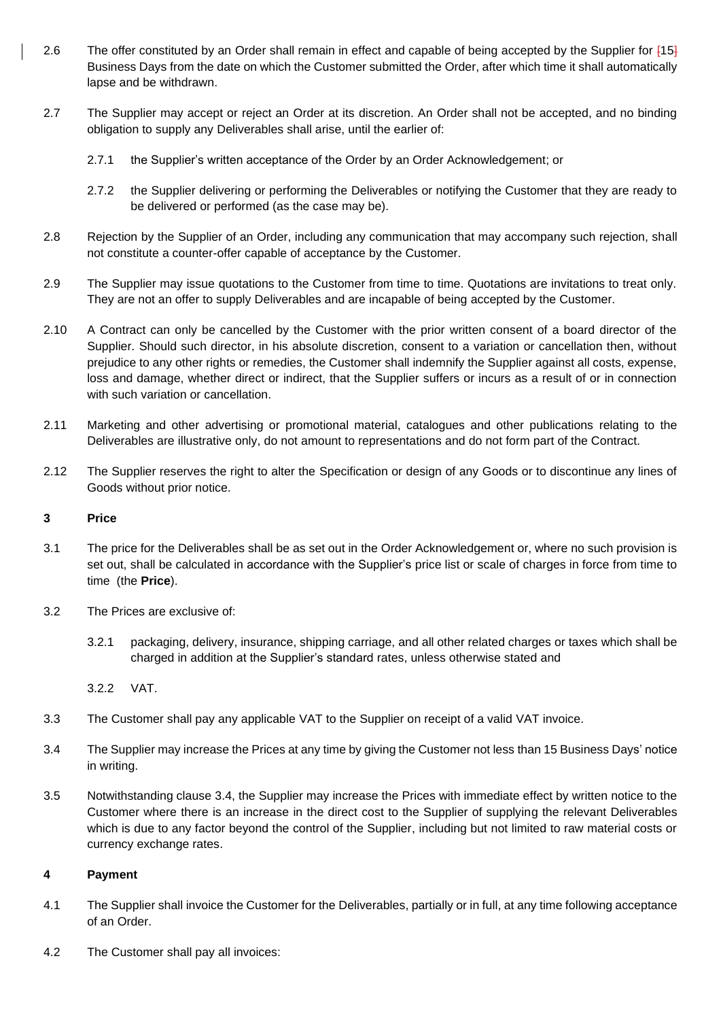- 2.6 The offer constituted by an Order shall remain in effect and capable of being accepted by the Supplier for  $[15]$ Business Days from the date on which the Customer submitted the Order, after which time it shall automatically lapse and be withdrawn.
- 2.7 The Supplier may accept or reject an Order at its discretion. An Order shall not be accepted, and no binding obligation to supply any Deliverables shall arise, until the earlier of:
	- 2.7.1 the Supplier's written acceptance of the Order by an Order Acknowledgement; or
	- 2.7.2 the Supplier delivering or performing the Deliverables or notifying the Customer that they are ready to be delivered or performed (as the case may be).
- 2.8 Rejection by the Supplier of an Order, including any communication that may accompany such rejection, shall not constitute a counter-offer capable of acceptance by the Customer.
- 2.9 The Supplier may issue quotations to the Customer from time to time. Quotations are invitations to treat only. They are not an offer to supply Deliverables and are incapable of being accepted by the Customer.
- 2.10 A Contract can only be cancelled by the Customer with the prior written consent of a board director of the Supplier. Should such director, in his absolute discretion, consent to a variation or cancellation then, without prejudice to any other rights or remedies, the Customer shall indemnify the Supplier against all costs, expense, loss and damage, whether direct or indirect, that the Supplier suffers or incurs as a result of or in connection with such variation or cancellation.
- 2.11 Marketing and other advertising or promotional material, catalogues and other publications relating to the Deliverables are illustrative only, do not amount to representations and do not form part of the Contract.
- 2.12 The Supplier reserves the right to alter the Specification or design of any Goods or to discontinue any lines of Goods without prior notice.

# **3 Price**

- 3.1 The price for the Deliverables shall be as set out in the Order Acknowledgement or, where no such provision is set out, shall be calculated in accordance with the Supplier's price list or scale of charges in force from time to time (the **Price**).
- <span id="page-4-0"></span>3.2 The Prices are exclusive of:
	- 3.2.1 packaging, delivery, insurance, shipping carriage, and all other related charges or taxes which shall be charged in addition at the Supplier's standard rates, unless otherwise stated and

<span id="page-4-1"></span>3.2.2 VAT.

- 3.3 The Customer shall pay any applicable VAT to the Supplier on receipt of a valid VAT invoice.
- 3.4 The Supplier may increase the Prices at any time by giving the Customer not less than 15 Business Days' notice in writing.
- 3.5 Notwithstanding clause [3.4,](#page-4-1) the Supplier may increase the Prices with immediate effect by written notice to the Customer where there is an increase in the direct cost to the Supplier of supplying the relevant Deliverables which is due to any factor beyond the control of the Supplier, including but not limited to raw material costs or currency exchange rates.

# **4 Payment**

- 4.1 The Supplier shall invoice the Customer for the Deliverables, partially or in full, at any time following acceptance of an Order.
- 4.2 The Customer shall pay all invoices: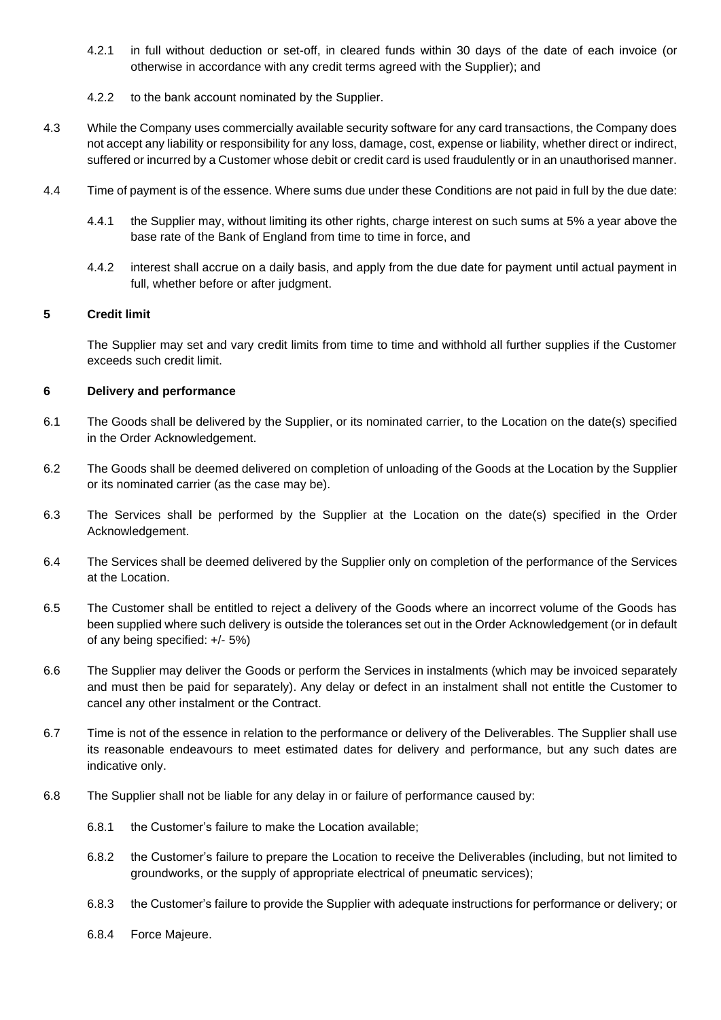- 4.2.1 in full without deduction or set-off, in cleared funds within 30 days of the date of each invoice (or otherwise in accordance with any credit terms agreed with the Supplier); and
- 4.2.2 to the bank account nominated by the Supplier.
- 4.3 While the Company uses commercially available security software for any card transactions, the Company does not accept any liability or responsibility for any loss, damage, cost, expense or liability, whether direct or indirect, suffered or incurred by a Customer whose debit or credit card is used fraudulently or in an unauthorised manner.
- 4.4 Time of payment is of the essence. Where sums due under these Conditions are not paid in full by the due date:
	- 4.4.1 the Supplier may, without limiting its other rights, charge interest on such sums at 5% a year above the base rate of the Bank of England from time to time in force, and
	- 4.4.2 interest shall accrue on a daily basis, and apply from the due date for payment until actual payment in full, whether before or after judgment.

## **5 Credit limit**

The Supplier may set and vary credit limits from time to time and withhold all further supplies if the Customer exceeds such credit limit.

## **6 Delivery and performance**

- 6.1 The Goods shall be delivered by the Supplier, or its nominated carrier, to the Location on the date(s) specified in the Order Acknowledgement.
- 6.2 The Goods shall be deemed delivered on completion of unloading of the Goods at the Location by the Supplier or its nominated carrier (as the case may be).
- 6.3 The Services shall be performed by the Supplier at the Location on the date(s) specified in the Order Acknowledgement.
- 6.4 The Services shall be deemed delivered by the Supplier only on completion of the performance of the Services at the Location.
- 6.5 The Customer shall be entitled to reject a delivery of the Goods where an incorrect volume of the Goods has been supplied where such delivery is outside the tolerances set out in the Order Acknowledgement (or in default of any being specified: +/- 5%)
- 6.6 The Supplier may deliver the Goods or perform the Services in instalments (which may be invoiced separately and must then be paid for separately). Any delay or defect in an instalment shall not entitle the Customer to cancel any other instalment or the Contract.
- 6.7 Time is not of the essence in relation to the performance or delivery of the Deliverables. The Supplier shall use its reasonable endeavours to meet estimated dates for delivery and performance, but any such dates are indicative only.
- 6.8 The Supplier shall not be liable for any delay in or failure of performance caused by:
	- 6.8.1 the Customer's failure to make the Location available;
	- 6.8.2 the Customer's failure to prepare the Location to receive the Deliverables (including, but not limited to groundworks, or the supply of appropriate electrical of pneumatic services);
	- 6.8.3 the Customer's failure to provide the Supplier with adequate instructions for performance or delivery; or
	- 6.8.4 Force Majeure.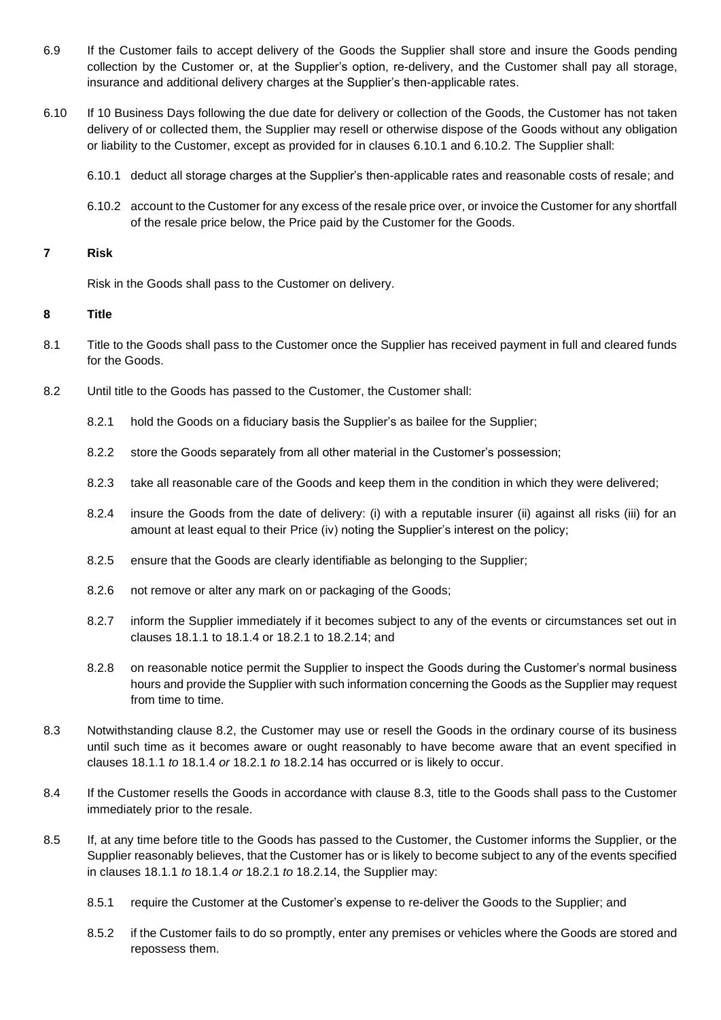- 6.9 If the Customer fails to accept delivery of the Goods the Supplier shall store and insure the Goods pending collection by the Customer or, at the Supplier's option, re-delivery, and the Customer shall pay all storage, insurance and additional delivery charges at the Supplier's then-applicable rates.
- 6.10 If 10 Business Days following the due date for delivery or collection of the Goods, the Customer has not taken delivery of or collected them, the Supplier may resell or otherwise dispose of the Goods without any obligation or liability to the Customer, except as provided for in clauses [6.10.1](#page-6-0) and [6.10.2.](#page-6-1) The Supplier shall:
	- 6.10.1 deduct all storage charges at the Supplier's then-applicable rates and reasonable costs of resale; and
	- 6.10.2 account to the Customer for any excess of the resale price over, or invoice the Customer for any shortfall of the resale price below, the Price paid by the Customer for the Goods.

## **7 Risk**

<span id="page-6-2"></span><span id="page-6-1"></span><span id="page-6-0"></span>Risk in the Goods shall pass to the Customer on delivery.

## **8 Title**

- 8.1 Title to the Goods shall pass to the Customer once the Supplier has received payment in full and cleared funds for the Goods.
- 8.2 Until title to the Goods has passed to the Customer, the Customer shall:
	- 8.2.1 hold the Goods on a fiduciary basis the Supplier's as bailee for the Supplier;
	- 8.2.2 store the Goods separately from all other material in the Customer's possession;
	- 8.2.3 take all reasonable care of the Goods and keep them in the condition in which they were delivered;
	- 8.2.4 insure the Goods from the date of delivery: (i) with a reputable insurer (ii) against all risks (iii) for an amount at least equal to their Price (iv) noting the Supplier's interest on the policy;
	- 8.2.5 ensure that the Goods are clearly identifiable as belonging to the Supplier;
	- 8.2.6 not remove or alter any mark on or packaging of the Goods;
	- 8.2.7 inform the Supplier immediately if it becomes subject to any of the events or circumstances set out in clauses [18.1.1](#page-11-0) to [18.1.4](#page-11-1) or [18.2.1](#page-11-2) to [18.2.14;](#page-12-0) and
	- 8.2.8 on reasonable notice permit the Supplier to inspect the Goods during the Customer's normal business hours and provide the Supplier with such information concerning the Goods as the Supplier may request from time to time.
- <span id="page-6-3"></span>8.3 Notwithstanding clause [8.2,](#page-6-2) the Customer may use or resell the Goods in the ordinary course of its business until such time as it becomes aware or ought reasonably to have become aware that an event specified in clauses [18.1.1](#page-11-0) *to* [18.1.4](#page-11-1) *or* [18.2.1](#page-11-2) *to* [18.2.14](#page-12-0) has occurred or is likely to occur.
- 8.4 If the Customer resells the Goods in accordance with clause [8.3,](#page-6-3) title to the Goods shall pass to the Customer immediately prior to the resale.
- 8.5 If, at any time before title to the Goods has passed to the Customer, the Customer informs the Supplier, or the Supplier reasonably believes, that the Customer has or is likely to become subject to any of the events specified in clauses [18.1.1](#page-11-0) *to* [18.1.4](#page-11-1) *or* [18.2.1](#page-11-2) *to* [18.2.14,](#page-12-0) the Supplier may:
	- 8.5.1 require the Customer at the Customer's expense to re-deliver the Goods to the Supplier; and
	- 8.5.2 if the Customer fails to do so promptly, enter any premises or vehicles where the Goods are stored and repossess them.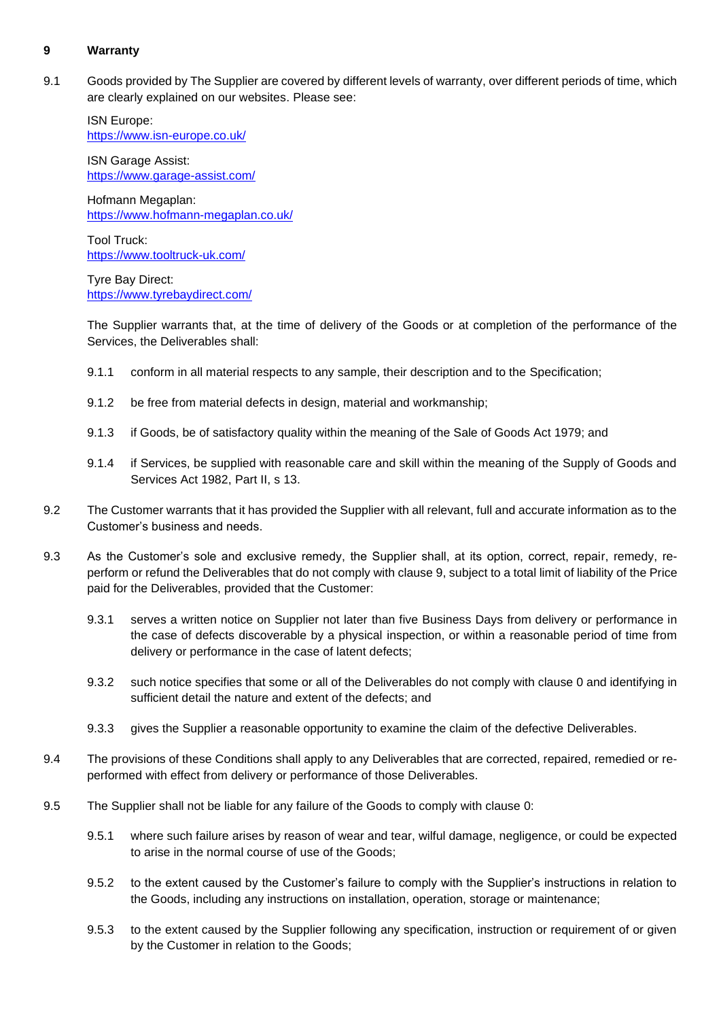# **9 Warranty**

9.1 Goods provided by The Supplier are covered by different levels of warranty, over different periods of time, which are clearly explained on our websites. Please see:

<span id="page-7-1"></span>ISN Europe: <https://www.isn-europe.co.uk/>

ISN Garage Assist: <https://www.garage-assist.com/>

Hofmann Megaplan: <https://www.hofmann-megaplan.co.uk/>

Tool Truck: <https://www.tooltruck-uk.com/>

Tyre Bay Direct: <https://www.tyrebaydirect.com/>

<span id="page-7-0"></span>The Supplier warrants that, at the time of delivery of the Goods or at completion of the performance of the Services, the Deliverables shall:

- 9.1.1 conform in all material respects to any sample, their description and to the Specification;
- 9.1.2 be free from material defects in design, material and workmanship;
- 9.1.3 if Goods, be of satisfactory quality within the meaning of the Sale of Goods Act 1979; and
- 9.1.4 if Services, be supplied with reasonable care and skill within the meaning of the Supply of Goods and Services Act 1982, Part II, s 13.
- 9.2 The Customer warrants that it has provided the Supplier with all relevant, full and accurate information as to the Customer's business and needs.
- 9.3 As the Customer's sole and exclusive remedy, the Supplier shall, at its option, correct, repair, remedy, reperform or refund the Deliverables that do not comply with clause [9,](#page-7-1) subject to a total limit of liability of the Price paid for the Deliverables, provided that the Customer:
	- 9.3.1 serves a written notice on Supplier not later than five Business Days from delivery or performance in the case of defects discoverable by a physical inspection, or within a reasonable period of time from delivery or performance in the case of latent defects;
	- 9.3.2 such notice specifies that some or all of the Deliverables do not comply with clause [0](#page-7-0) and identifying in sufficient detail the nature and extent of the defects; and
	- 9.3.3 gives the Supplier a reasonable opportunity to examine the claim of the defective Deliverables.
- 9.4 The provisions of these Conditions shall apply to any Deliverables that are corrected, repaired, remedied or reperformed with effect from delivery or performance of those Deliverables.
- 9.5 The Supplier shall not be liable for any failure of the Goods to comply with clause [0:](#page-7-0)
	- 9.5.1 where such failure arises by reason of wear and tear, wilful damage, negligence, or could be expected to arise in the normal course of use of the Goods;
	- 9.5.2 to the extent caused by the Customer's failure to comply with the Supplier's instructions in relation to the Goods, including any instructions on installation, operation, storage or maintenance;
	- 9.5.3 to the extent caused by the Supplier following any specification, instruction or requirement of or given by the Customer in relation to the Goods;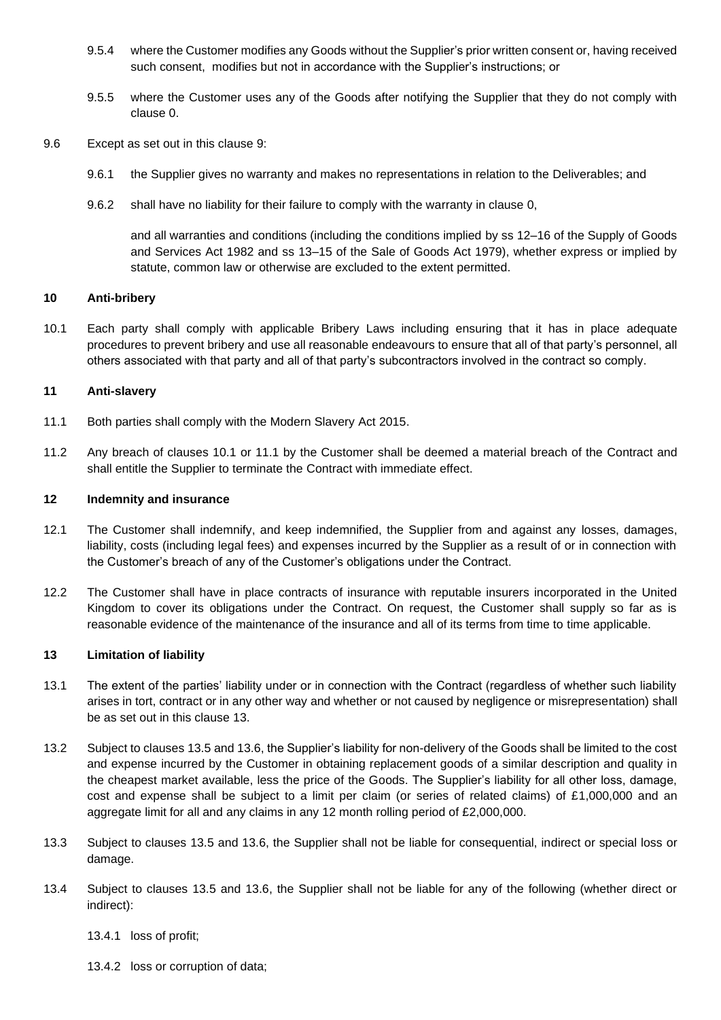- 9.5.4 where the Customer modifies any Goods without the Supplier's prior written consent or, having received such consent, modifies but not in accordance with the Supplier's instructions; or
- 9.5.5 where the Customer uses any of the Goods after notifying the Supplier that they do not comply with clause [0.](#page-7-0)
- 9.6 Except as set out in this clause [9:](#page-7-1)
	- 9.6.1 the Supplier gives no warranty and makes no representations in relation to the Deliverables; and
	- 9.6.2 shall have no liability for their failure to comply with the warranty in clause [0,](#page-7-0)

and all warranties and conditions (including the conditions implied by ss 12–16 of the Supply of Goods and Services Act 1982 and ss 13–15 of the Sale of Goods Act 1979), whether express or implied by statute, common law or otherwise are excluded to the extent permitted.

#### **10 Anti-bribery**

10.1 Each party shall comply with applicable Bribery Laws including ensuring that it has in place adequate procedures to prevent bribery and use all reasonable endeavours to ensure that all of that party's personnel, all others associated with that party and all of that party's subcontractors involved in the contract so comply.

## **11 Anti-slavery**

- 11.1 Both parties shall comply with the Modern Slavery Act 2015.
- 11.2 Any breach of clauses 10.1 or 11.1 by the Customer shall be deemed a material breach of the Contract and shall entitle the Supplier to terminate the Contract with immediate effect.

## **12 Indemnity and insurance**

- 12.1 The Customer shall indemnify, and keep indemnified, the Supplier from and against any losses, damages, liability, costs (including legal fees) and expenses incurred by the Supplier as a result of or in connection with the Customer's breach of any of the Customer's obligations under the Contract.
- 12.2 The Customer shall have in place contracts of insurance with reputable insurers incorporated in the United Kingdom to cover its obligations under the Contract. On request, the Customer shall supply so far as is reasonable evidence of the maintenance of the insurance and all of its terms from time to time applicable.

#### <span id="page-8-0"></span>**13 Limitation of liability**

- 13.1 The extent of the parties' liability under or in connection with the Contract (regardless of whether such liability arises in tort, contract or in any other way and whether or not caused by negligence or misrepresentation) shall be as set out in this clause [13.](#page-8-0)
- 13.2 Subject to clauses [13.5](#page-9-1) and [13.6,](#page-9-2) the Supplier's liability for non-delivery of the Goods shall be limited to the cost and expense incurred by the Customer in obtaining replacement goods of a similar description and quality in the cheapest market available, less the price of the Goods. The Supplier's liability for all other loss, damage, cost and expense shall be subject to a limit per claim (or series of related claims) of £1,000,000 and an aggregate limit for all and any claims in any 12 month rolling period of £2,000,000.
- 13.3 Subject to clauses [13.5](#page-9-1) and [13.6,](#page-9-2) the Supplier shall not be liable for consequential, indirect or special loss or damage.
- 13.4 Subject to clauses [13.5](#page-9-1) and [13.6,](#page-9-2) the Supplier shall not be liable for any of the following (whether direct or indirect):

13.4.1 loss of profit;

13.4.2 loss or corruption of data;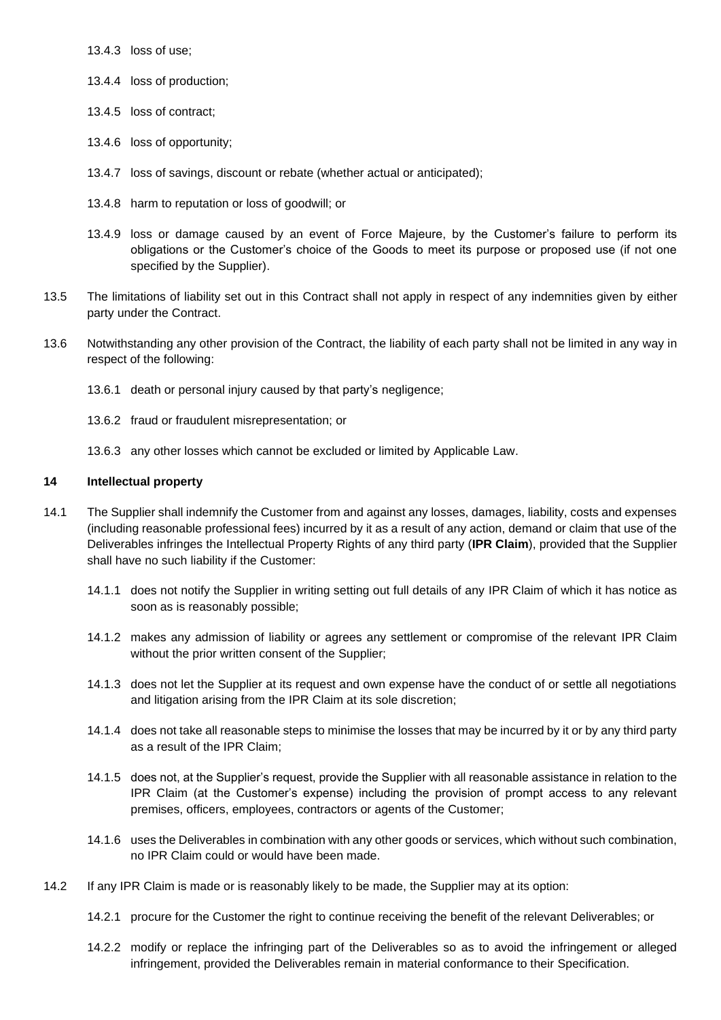13.4.3 loss of use;

- 13.4.4 loss of production;
- 13.4.5 loss of contract;
- 13.4.6 loss of opportunity;
- 13.4.7 loss of savings, discount or rebate (whether actual or anticipated);
- 13.4.8 harm to reputation or loss of goodwill; or
- <span id="page-9-1"></span>13.4.9 loss or damage caused by an event of Force Majeure, by the Customer's failure to perform its obligations or the Customer's choice of the Goods to meet its purpose or proposed use (if not one specified by the Supplier).
- 13.5 The limitations of liability set out in this Contract shall not apply in respect of any indemnities given by either party under the Contract.
- <span id="page-9-2"></span>13.6 Notwithstanding any other provision of the Contract, the liability of each party shall not be limited in any way in respect of the following:
	- 13.6.1 death or personal injury caused by that party's negligence;
	- 13.6.2 fraud or fraudulent misrepresentation; or
	- 13.6.3 any other losses which cannot be excluded or limited by Applicable Law.

# **14 Intellectual property**

- <span id="page-9-0"></span>14.1 The Supplier shall indemnify the Customer from and against any losses, damages, liability, costs and expenses (including reasonable professional fees) incurred by it as a result of any action, demand or claim that use of the Deliverables infringes the Intellectual Property Rights of any third party (**IPR Claim**), provided that the Supplier shall have no such liability if the Customer:
	- 14.1.1 does not notify the Supplier in writing setting out full details of any IPR Claim of which it has notice as soon as is reasonably possible;
	- 14.1.2 makes any admission of liability or agrees any settlement or compromise of the relevant IPR Claim without the prior written consent of the Supplier;
	- 14.1.3 does not let the Supplier at its request and own expense have the conduct of or settle all negotiations and litigation arising from the IPR Claim at its sole discretion;
	- 14.1.4 does not take all reasonable steps to minimise the losses that may be incurred by it or by any third party as a result of the IPR Claim;
	- 14.1.5 does not, at the Supplier's request, provide the Supplier with all reasonable assistance in relation to the IPR Claim (at the Customer's expense) including the provision of prompt access to any relevant premises, officers, employees, contractors or agents of the Customer;
	- 14.1.6 uses the Deliverables in combination with any other goods or services, which without such combination, no IPR Claim could or would have been made.
- 14.2 If any IPR Claim is made or is reasonably likely to be made, the Supplier may at its option:
	- 14.2.1 procure for the Customer the right to continue receiving the benefit of the relevant Deliverables; or
	- 14.2.2 modify or replace the infringing part of the Deliverables so as to avoid the infringement or alleged infringement, provided the Deliverables remain in material conformance to their Specification.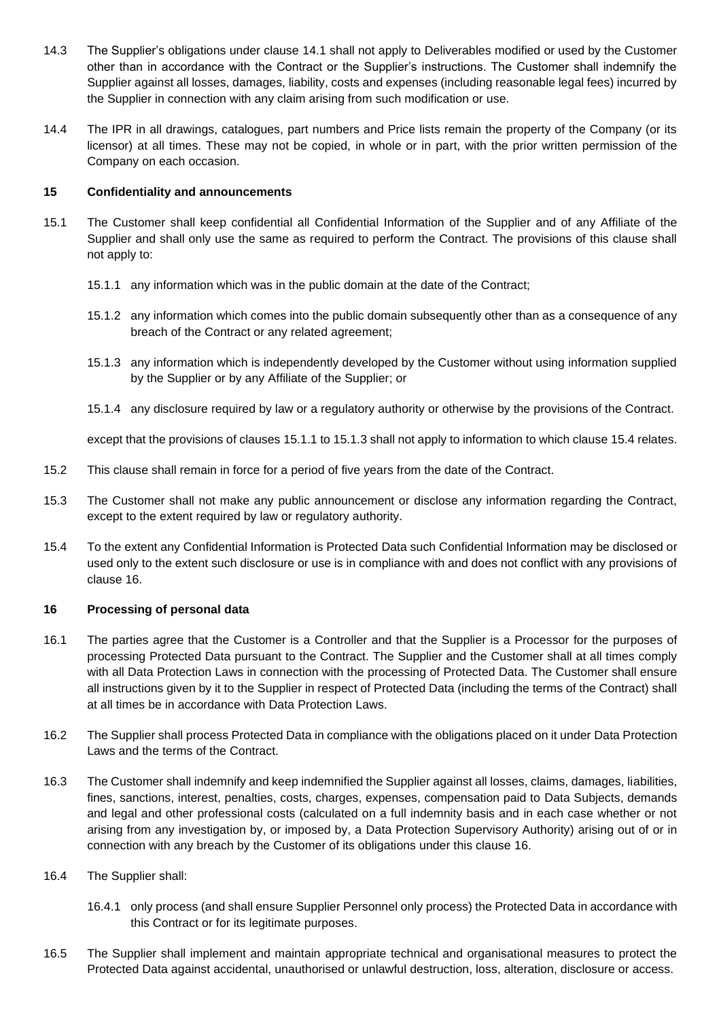- 14.3 The Supplier's obligations under clause [14.1](#page-9-0) shall not apply to Deliverables modified or used by the Customer other than in accordance with the Contract or the Supplier's instructions. The Customer shall indemnify the Supplier against all losses, damages, liability, costs and expenses (including reasonable legal fees) incurred by the Supplier in connection with any claim arising from such modification or use.
- 14.4 The IPR in all drawings, catalogues, part numbers and Price lists remain the property of the Company (or its licensor) at all times. These may not be copied, in whole or in part, with the prior written permission of the Company on each occasion.

# **15 Confidentiality and announcements**

- 15.1 The Customer shall keep confidential all Confidential Information of the Supplier and of any Affiliate of the Supplier and shall only use the same as required to perform the Contract. The provisions of this clause shall not apply to:
	- 15.1.1 any information which was in the public domain at the date of the Contract;
	- 15.1.2 any information which comes into the public domain subsequently other than as a consequence of any breach of the Contract or any related agreement;
	- 15.1.3 any information which is independently developed by the Customer without using information supplied by the Supplier or by any Affiliate of the Supplier; or
	- 15.1.4 any disclosure required by law or a regulatory authority or otherwise by the provisions of the Contract.

<span id="page-10-1"></span><span id="page-10-0"></span>except that the provisions of clauses [15.1.1](#page-10-0) to [15.1.3](#page-10-1) shall not apply to information to which claus[e 15.4](#page-10-2) relates.

- 15.2 This clause shall remain in force for a period of five years from the date of the Contract.
- 15.3 The Customer shall not make any public announcement or disclose any information regarding the Contract, except to the extent required by law or regulatory authority.
- 15.4 To the extent any Confidential Information is Protected Data such Confidential Information may be disclosed or used only to the extent such disclosure or use is in compliance with and does not conflict with any provisions of clause [16.](#page-10-3)

#### <span id="page-10-3"></span><span id="page-10-2"></span>**16 Processing of personal data**

- 16.1 The parties agree that the Customer is a Controller and that the Supplier is a Processor for the purposes of processing Protected Data pursuant to the Contract. The Supplier and the Customer shall at all times comply with all Data Protection Laws in connection with the processing of Protected Data. The Customer shall ensure all instructions given by it to the Supplier in respect of Protected Data (including the terms of the Contract) shall at all times be in accordance with Data Protection Laws.
- 16.2 The Supplier shall process Protected Data in compliance with the obligations placed on it under Data Protection Laws and the terms of the Contract.
- 16.3 The Customer shall indemnify and keep indemnified the Supplier against all losses, claims, damages, liabilities, fines, sanctions, interest, penalties, costs, charges, expenses, compensation paid to Data Subjects, demands and legal and other professional costs (calculated on a full indemnity basis and in each case whether or not arising from any investigation by, or imposed by, a Data Protection Supervisory Authority) arising out of or in connection with any breach by the Customer of its obligations under this clause [16.](#page-10-3)
- 16.4 The Supplier shall:
	- 16.4.1 only process (and shall ensure Supplier Personnel only process) the Protected Data in accordance with this Contract or for its legitimate purposes.
- 16.5 The Supplier shall implement and maintain appropriate technical and organisational measures to protect the Protected Data against accidental, unauthorised or unlawful destruction, loss, alteration, disclosure or access.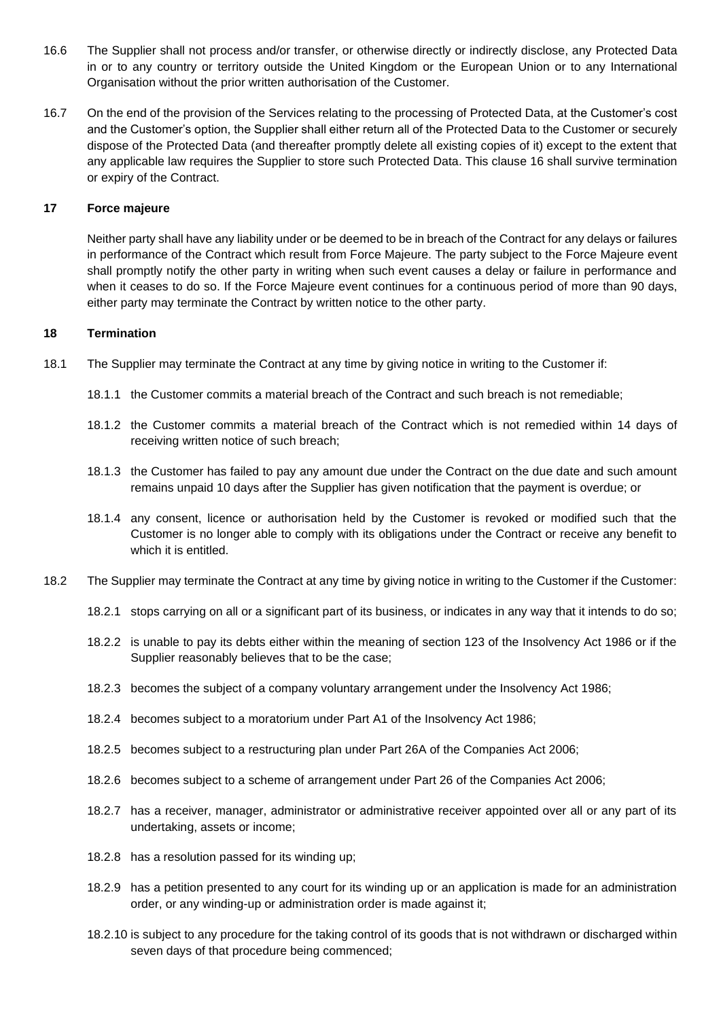- 16.6 The Supplier shall not process and/or transfer, or otherwise directly or indirectly disclose, any Protected Data in or to any country or territory outside the United Kingdom or the European Union or to any International Organisation without the prior written authorisation of the Customer.
- 16.7 On the end of the provision of the Services relating to the processing of Protected Data, at the Customer's cost and the Customer's option, the Supplier shall either return all of the Protected Data to the Customer or securely dispose of the Protected Data (and thereafter promptly delete all existing copies of it) except to the extent that any applicable law requires the Supplier to store such Protected Data. This clause [16](#page-10-3) shall survive termination or expiry of the Contract.

## **17 Force majeure**

<span id="page-11-0"></span>Neither party shall have any liability under or be deemed to be in breach of the Contract for any delays or failures in performance of the Contract which result from Force Majeure. The party subject to the Force Majeure event shall promptly notify the other party in writing when such event causes a delay or failure in performance and when it ceases to do so. If the Force Majeure event continues for a continuous period of more than 90 days, either party may terminate the Contract by written notice to the other party.

#### <span id="page-11-4"></span>**18 Termination**

- 18.1 The Supplier may terminate the Contract at any time by giving notice in writing to the Customer if:
	- 18.1.1 the Customer commits a material breach of the Contract and such breach is not remediable;
	- 18.1.2 the Customer commits a material breach of the Contract which is not remedied within 14 days of receiving written notice of such breach;
	- 18.1.3 the Customer has failed to pay any amount due under the Contract on the due date and such amount remains unpaid 10 days after the Supplier has given notification that the payment is overdue; or
	- 18.1.4 any consent, licence or authorisation held by the Customer is revoked or modified such that the Customer is no longer able to comply with its obligations under the Contract or receive any benefit to which it is entitled.
- <span id="page-11-3"></span><span id="page-11-2"></span><span id="page-11-1"></span>18.2 The Supplier may terminate the Contract at any time by giving notice in writing to the Customer if the Customer:
	- 18.2.1 stops carrying on all or a significant part of its business, or indicates in any way that it intends to do so;
	- 18.2.2 is unable to pay its debts either within the meaning of section 123 of the Insolvency Act 1986 or if the Supplier reasonably believes that to be the case;
	- 18.2.3 becomes the subject of a company voluntary arrangement under the Insolvency Act 1986;
	- 18.2.4 becomes subject to a moratorium under Part A1 of the Insolvency Act 1986;
	- 18.2.5 becomes subject to a restructuring plan under Part 26A of the Companies Act 2006;
	- 18.2.6 becomes subject to a scheme of arrangement under Part 26 of the Companies Act 2006;
	- 18.2.7 has a receiver, manager, administrator or administrative receiver appointed over all or any part of its undertaking, assets or income;
	- 18.2.8 has a resolution passed for its winding up;
	- 18.2.9 has a petition presented to any court for its winding up or an application is made for an administration order, or any winding-up or administration order is made against it;
	- 18.2.10 is subject to any procedure for the taking control of its goods that is not withdrawn or discharged within seven days of that procedure being commenced;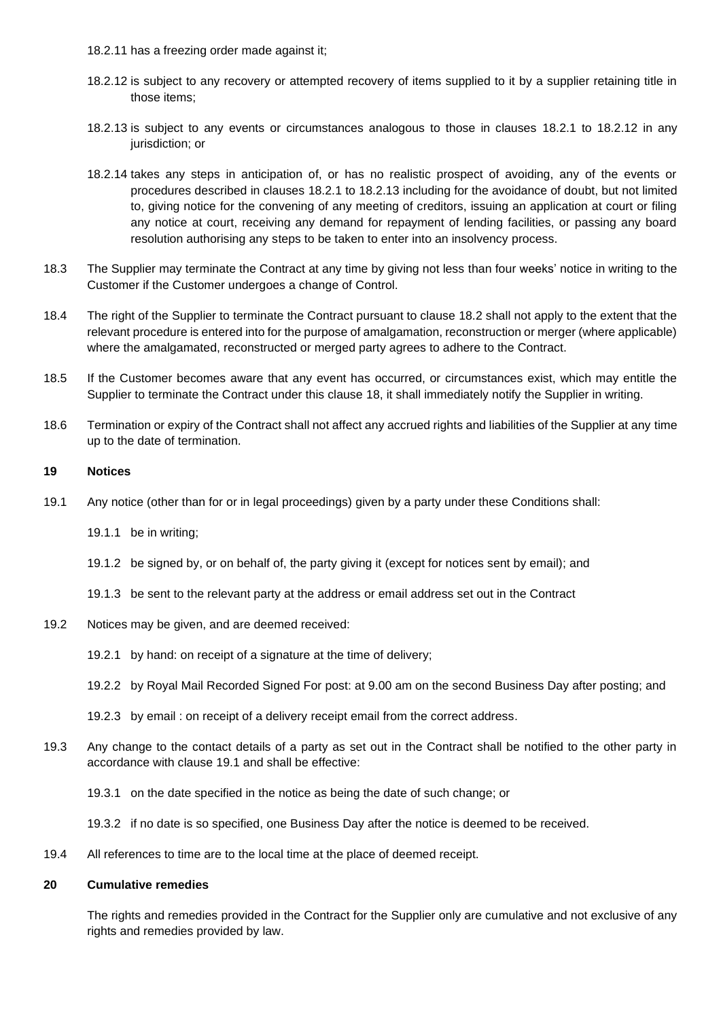- 18.2.11 has a freezing order made against it;
- <span id="page-12-1"></span>18.2.12 is subject to any recovery or attempted recovery of items supplied to it by a supplier retaining title in those items;
- <span id="page-12-2"></span>18.2.13 is subject to any events or circumstances analogous to those in clauses [18.2.1](#page-11-2) to [18.2.12](#page-12-1) in any jurisdiction; or
- <span id="page-12-0"></span>18.2.14 takes any steps in anticipation of, or has no realistic prospect of avoiding, any of the events or procedures described in clauses [18.2.1](#page-11-2) to [18.2.13](#page-12-2) including for the avoidance of doubt, but not limited to, giving notice for the convening of any meeting of creditors, issuing an application at court or filing any notice at court, receiving any demand for repayment of lending facilities, or passing any board resolution authorising any steps to be taken to enter into an insolvency process.
- 18.3 The Supplier may terminate the Contract at any time by giving not less than four weeks' notice in writing to the Customer if the Customer undergoes a change of Control.
- 18.4 The right of the Supplier to terminate the Contract pursuant to clause [18.2](#page-11-3) shall not apply to the extent that the relevant procedure is entered into for the purpose of amalgamation, reconstruction or merger (where applicable) where the amalgamated, reconstructed or merged party agrees to adhere to the Contract.
- 18.5 If the Customer becomes aware that any event has occurred, or circumstances exist, which may entitle the Supplier to terminate the Contract under this clause [18,](#page-11-4) it shall immediately notify the Supplier in writing.
- 18.6 Termination or expiry of the Contract shall not affect any accrued rights and liabilities of the Supplier at any time up to the date of termination.

## **19 Notices**

- <span id="page-12-3"></span>19.1 Any notice (other than for or in legal proceedings) given by a party under these Conditions shall:
	- 19.1.1 be in writing;
	- 19.1.2 be signed by, or on behalf of, the party giving it (except for notices sent by email); and
	- 19.1.3 be sent to the relevant party at the address or email address set out in the Contract
- 19.2 Notices may be given, and are deemed received:
	- 19.2.1 by hand: on receipt of a signature at the time of delivery;
	- 19.2.2 by Royal Mail Recorded Signed For post: at 9.00 am on the second Business Day after posting; and
	- 19.2.3 by email : on receipt of a delivery receipt email from the correct address.
- 19.3 Any change to the contact details of a party as set out in the Contract shall be notified to the other party in accordance with clause [19.1](#page-12-3) and shall be effective:
	- 19.3.1 on the date specified in the notice as being the date of such change; or
	- 19.3.2 if no date is so specified, one Business Day after the notice is deemed to be received.
- 19.4 All references to time are to the local time at the place of deemed receipt.

#### **20 Cumulative remedies**

The rights and remedies provided in the Contract for the Supplier only are cumulative and not exclusive of any rights and remedies provided by law.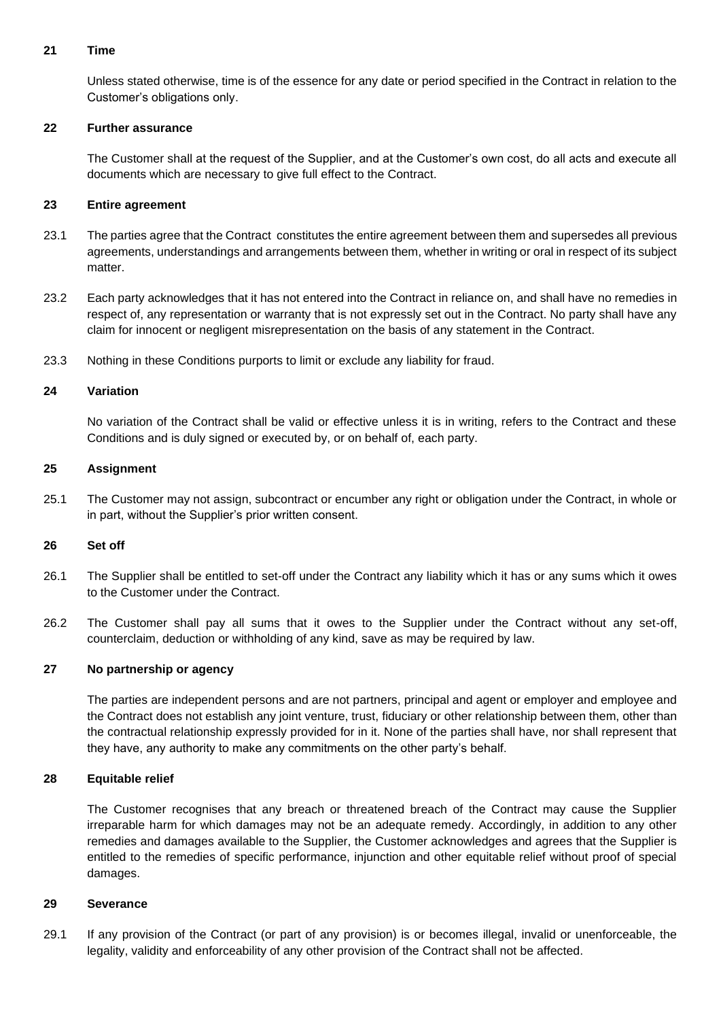# **21 Time**

Unless stated otherwise, time is of the essence for any date or period specified in the Contract in relation to the Customer's obligations only.

## **22 Further assurance**

The Customer shall at the request of the Supplier, and at the Customer's own cost, do all acts and execute all documents which are necessary to give full effect to the Contract.

## **23 Entire agreement**

- 23.1 The parties agree that the Contract constitutes the entire agreement between them and supersedes all previous agreements, understandings and arrangements between them, whether in writing or oral in respect of its subject matter.
- 23.2 Each party acknowledges that it has not entered into the Contract in reliance on, and shall have no remedies in respect of, any representation or warranty that is not expressly set out in the Contract. No party shall have any claim for innocent or negligent misrepresentation on the basis of any statement in the Contract.
- 23.3 Nothing in these Conditions purports to limit or exclude any liability for fraud.

## **24 Variation**

No variation of the Contract shall be valid or effective unless it is in writing, refers to the Contract and these Conditions and is duly signed or executed by, or on behalf of, each party.

#### **25 Assignment**

25.1 The Customer may not assign, subcontract or encumber any right or obligation under the Contract, in whole or in part, without the Supplier's prior written consent.

#### **26 Set off**

- 26.1 The Supplier shall be entitled to set-off under the Contract any liability which it has or any sums which it owes to the Customer under the Contract.
- 26.2 The Customer shall pay all sums that it owes to the Supplier under the Contract without any set-off, counterclaim, deduction or withholding of any kind, save as may be required by law.

#### **27 No partnership or agency**

The parties are independent persons and are not partners, principal and agent or employer and employee and the Contract does not establish any joint venture, trust, fiduciary or other relationship between them, other than the contractual relationship expressly provided for in it. None of the parties shall have, nor shall represent that they have, any authority to make any commitments on the other party's behalf.

#### **28 Equitable relief**

The Customer recognises that any breach or threatened breach of the Contract may cause the Supplier irreparable harm for which damages may not be an adequate remedy. Accordingly, in addition to any other remedies and damages available to the Supplier, the Customer acknowledges and agrees that the Supplier is entitled to the remedies of specific performance, injunction and other equitable relief without proof of special damages.

#### **29 Severance**

29.1 If any provision of the Contract (or part of any provision) is or becomes illegal, invalid or unenforceable, the legality, validity and enforceability of any other provision of the Contract shall not be affected.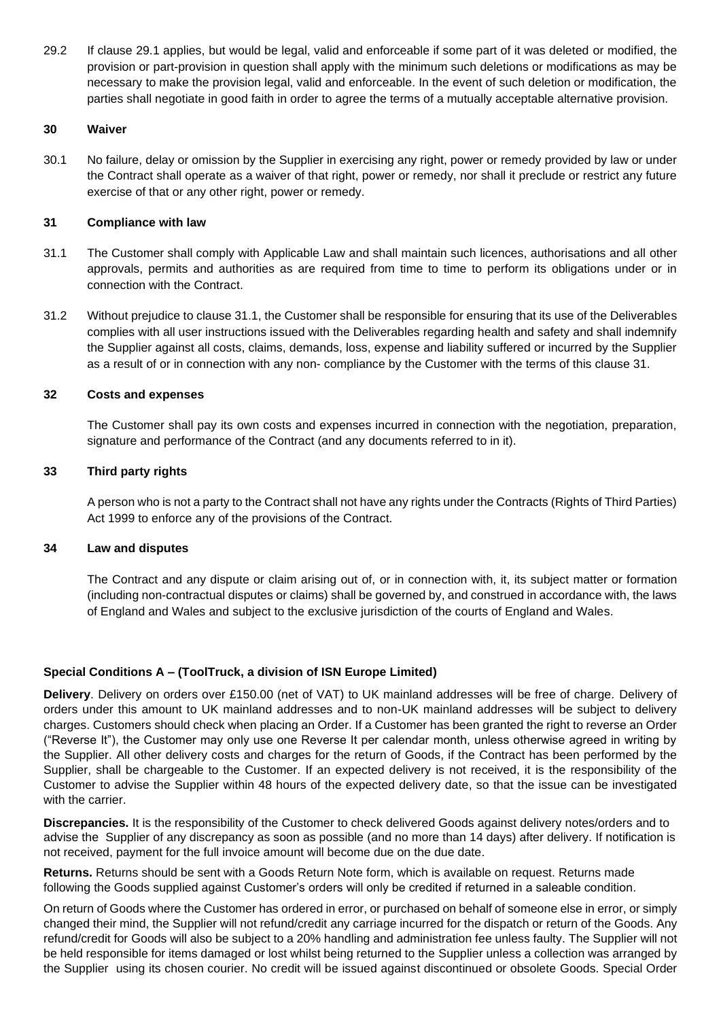29.2 If clause 29.1 applies, but would be legal, valid and enforceable if some part of it was deleted or modified, the provision or part-provision in question shall apply with the minimum such deletions or modifications as may be necessary to make the provision legal, valid and enforceable. In the event of such deletion or modification, the parties shall negotiate in good faith in order to agree the terms of a mutually acceptable alternative provision.

## **30 Waiver**

30.1 No failure, delay or omission by the Supplier in exercising any right, power or remedy provided by law or under the Contract shall operate as a waiver of that right, power or remedy, nor shall it preclude or restrict any future exercise of that or any other right, power or remedy.

## **31 Compliance with law**

- 31.1 The Customer shall comply with Applicable Law and shall maintain such licences, authorisations and all other approvals, permits and authorities as are required from time to time to perform its obligations under or in connection with the Contract.
- 31.2 Without prejudice to clause 31.1, the Customer shall be responsible for ensuring that its use of the Deliverables complies with all user instructions issued with the Deliverables regarding health and safety and shall indemnify the Supplier against all costs, claims, demands, loss, expense and liability suffered or incurred by the Supplier as a result of or in connection with any non- compliance by the Customer with the terms of this clause 31.

## **32 Costs and expenses**

The Customer shall pay its own costs and expenses incurred in connection with the negotiation, preparation, signature and performance of the Contract (and any documents referred to in it).

## **33 Third party rights**

A person who is not a party to the Contract shall not have any rights under the Contracts (Rights of Third Parties) Act 1999 to enforce any of the provisions of the Contract.

## **34 Law and disputes**

The Contract and any dispute or claim arising out of, or in connection with, it, its subject matter or formation (including non-contractual disputes or claims) shall be governed by, and construed in accordance with, the laws of England and Wales and subject to the exclusive jurisdiction of the courts of England and Wales.

# **Special Conditions A – (ToolTruck, a division of ISN Europe Limited)**

**Delivery**. Delivery on orders over £150.00 (net of VAT) to UK mainland addresses will be free of charge. Delivery of orders under this amount to UK mainland addresses and to non-UK mainland addresses will be subject to delivery charges. Customers should check when placing an Order. If a Customer has been granted the right to reverse an Order ("Reverse It"), the Customer may only use one Reverse It per calendar month, unless otherwise agreed in writing by the Supplier. All other delivery costs and charges for the return of Goods, if the Contract has been performed by the Supplier, shall be chargeable to the Customer. If an expected delivery is not received, it is the responsibility of the Customer to advise the Supplier within 48 hours of the expected delivery date, so that the issue can be investigated with the carrier.

**Discrepancies.** It is the responsibility of the Customer to check delivered Goods against delivery notes/orders and to advise the Supplier of any discrepancy as soon as possible (and no more than 14 days) after delivery. If notification is not received, payment for the full invoice amount will become due on the due date.

**Returns.** Returns should be sent with a Goods Return Note form, which is available on request. Returns made following the Goods supplied against Customer's orders will only be credited if returned in a saleable condition.

On return of Goods where the Customer has ordered in error, or purchased on behalf of someone else in error, or simply changed their mind, the Supplier will not refund/credit any carriage incurred for the dispatch or return of the Goods. Any refund/credit for Goods will also be subject to a 20% handling and administration fee unless faulty. The Supplier will not be held responsible for items damaged or lost whilst being returned to the Supplier unless a collection was arranged by the Supplier using its chosen courier. No credit will be issued against discontinued or obsolete Goods. Special Order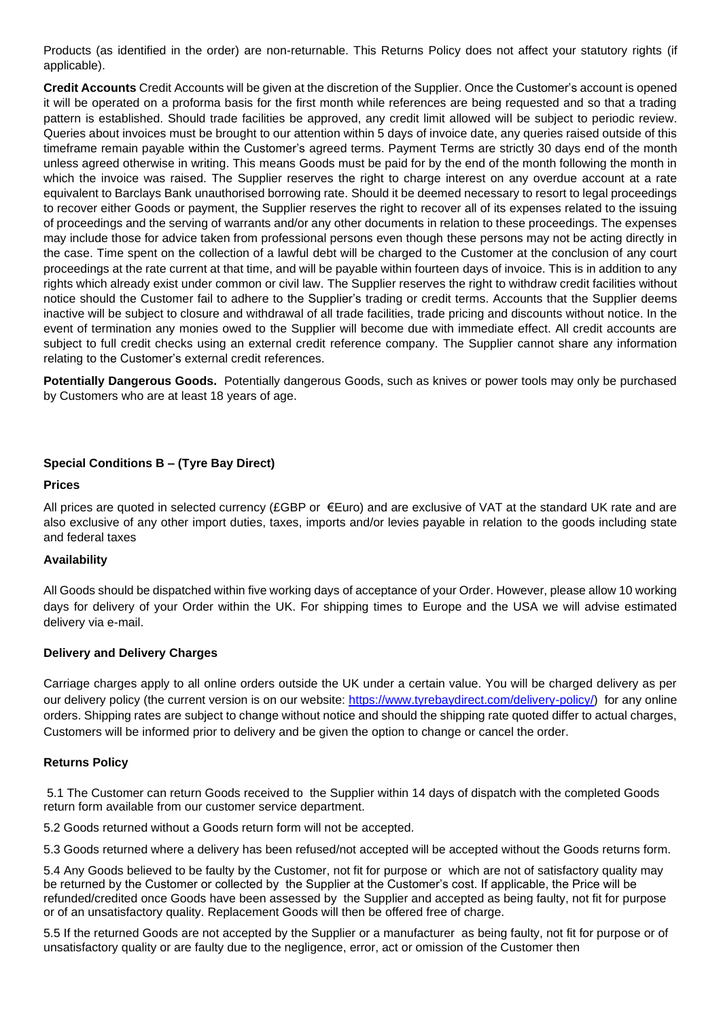Products (as identified in the order) are non-returnable. This Returns Policy does not affect your statutory rights (if applicable).

**Credit Accounts** Credit Accounts will be given at the discretion of the Supplier. Once the Customer's account is opened it will be operated on a proforma basis for the first month while references are being requested and so that a trading pattern is established. Should trade facilities be approved, any credit limit allowed will be subject to periodic review. Queries about invoices must be brought to our attention within 5 days of invoice date, any queries raised outside of this timeframe remain payable within the Customer's agreed terms. Payment Terms are strictly 30 days end of the month unless agreed otherwise in writing. This means Goods must be paid for by the end of the month following the month in which the invoice was raised. The Supplier reserves the right to charge interest on any overdue account at a rate equivalent to Barclays Bank unauthorised borrowing rate. Should it be deemed necessary to resort to legal proceedings to recover either Goods or payment, the Supplier reserves the right to recover all of its expenses related to the issuing of proceedings and the serving of warrants and/or any other documents in relation to these proceedings. The expenses may include those for advice taken from professional persons even though these persons may not be acting directly in the case. Time spent on the collection of a lawful debt will be charged to the Customer at the conclusion of any court proceedings at the rate current at that time, and will be payable within fourteen days of invoice. This is in addition to any rights which already exist under common or civil law. The Supplier reserves the right to withdraw credit facilities without notice should the Customer fail to adhere to the Supplier's trading or credit terms. Accounts that the Supplier deems inactive will be subject to closure and withdrawal of all trade facilities, trade pricing and discounts without notice. In the event of termination any monies owed to the Supplier will become due with immediate effect. All credit accounts are subject to full credit checks using an external credit reference company. The Supplier cannot share any information relating to the Customer's external credit references.

**Potentially Dangerous Goods.** Potentially dangerous Goods, such as knives or power tools may only be purchased by Customers who are at least 18 years of age.

# **Special Conditions B – (Tyre Bay Direct)**

#### **Prices**

All prices are quoted in selected currency (£GBP or €Euro) and are exclusive of VAT at the standard UK rate and are also exclusive of any other import duties, taxes, imports and/or levies payable in relation to the goods including state and federal taxes

#### **Availability**

All Goods should be dispatched within five working days of acceptance of your Order. However, please allow 10 working days for delivery of your Order within the UK. For shipping times to Europe and the USA we will advise estimated delivery via e-mail.

#### **Delivery and Delivery Charges**

Carriage charges apply to all online orders outside the UK under a certain value. You will be charged delivery as per our delivery policy (the current version is on our website: [https://www.tyrebaydirect.com/delivery-policy/\)](https://www.tyrebaydirect.com/delivery-policy/) for any online orders. Shipping rates are subject to change without notice and should the shipping rate quoted differ to actual charges, Customers will be informed prior to delivery and be given the option to change or cancel the order.

#### **Returns Policy**

5.1 The Customer can return Goods received to the Supplier within 14 days of dispatch with the completed Goods return form available from our customer service department.

5.2 Goods returned without a Goods return form will not be accepted.

5.3 Goods returned where a delivery has been refused/not accepted will be accepted without the Goods returns form.

5.4 Any Goods believed to be faulty by the Customer, not fit for purpose or which are not of satisfactory quality may be returned by the Customer or collected by the Supplier at the Customer's cost. If applicable, the Price will be refunded/credited once Goods have been assessed by the Supplier and accepted as being faulty, not fit for purpose or of an unsatisfactory quality. Replacement Goods will then be offered free of charge.

5.5 If the returned Goods are not accepted by the Supplier or a manufacturer as being faulty, not fit for purpose or of unsatisfactory quality or are faulty due to the negligence, error, act or omission of the Customer then